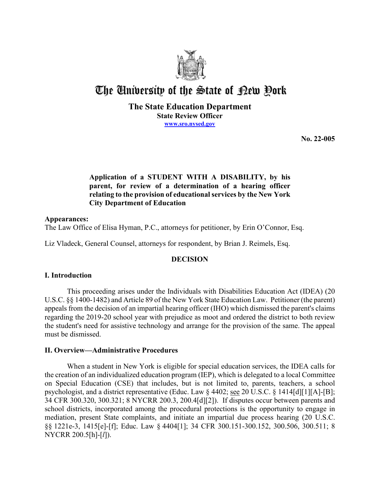

# The University of the State of Pew Pork

# **The State Education Department State Review Officer [www.sro.nysed.gov](http://www.sro.nysed.gov/)**

**No. 22-005** 

# **Application of a STUDENT WITH A DISABILITY, by his relating to the provision of educational services by the New York parent, for review of a determination of a hearing officer City Department of Education**

# **Appearances:**

The Law Office of Elisa Hyman, P.C., attorneys for petitioner, by Erin O'Connor, Esq.

Liz Vladeck, General Counsel, attorneys for respondent, by Brian J. Reimels, Esq.

# **DECISION**

# **I. Introduction**

 regarding the 2019-20 school year with prejudice as moot and ordered the district to both review the student's need for assistive technology and arrange for the provision of the same. The appeal must be dismissed. This proceeding arises under the Individuals with Disabilities Education Act (IDEA) (20 U.S.C. §§ 1400-1482) and Article 89 of the New York State Education Law. Petitioner (the parent) appeals from the decision of an impartial hearing officer (IHO) which dismissed the parent's claims

# **II. Overview—Administrative Procedures**

 the creation of an individualized education program (IEP), which is delegated to a local Committee on Special Education (CSE) that includes, but is not limited to, parents, teachers, a school When a student in New York is eligible for special education services, the IDEA calls for psychologist, and a district representative (Educ. Law § 4402; see 20 U.S.C. § 1414[d][1][A]-[B]; 34 CFR 300.320, 300.321; 8 NYCRR 200.3, 200.4[d][2]). If disputes occur between parents and school districts, incorporated among the procedural protections is the opportunity to engage in mediation, present State complaints, and initiate an impartial due process hearing (20 U.S.C. §§ 1221e-3, 1415[e]-[f]; Educ. Law § 4404[1]; 34 CFR 300.151-300.152, 300.506, 300.511; 8 NYCRR 200.5[h]-[*l*]).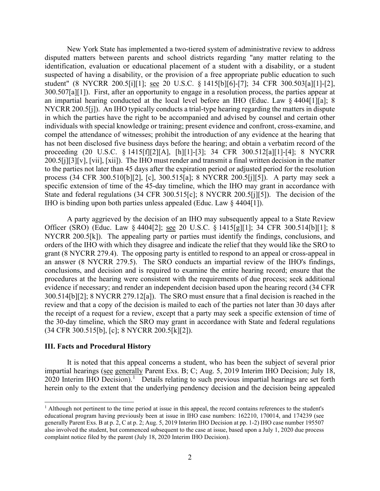disputed matters between parents and school districts regarding "any matter relating to the 300.507[a][1]). First, after an opportunity to engage in a resolution process, the parties appear at NYCRR 200.5[j]). An IHO typically conducts a trial-type hearing regarding the matters in dispute process (34 CFR 300.510[b][2], [c], 300.515[a]; 8 NYCRR 200.5[j][5]). A party may seek a IHO is binding upon both parties unless appealed (Educ. Law § 4404[1]). New York State has implemented a two-tiered system of administrative review to address identification, evaluation or educational placement of a student with a disability, or a student suspected of having a disability, or the provision of a free appropriate public education to such student" (8 NYCRR 200.5[i][1]; see 20 U.S.C. § 1415[b][6]-[7]; 34 CFR 300.503[a][1]-[2], an impartial hearing conducted at the local level before an IHO (Educ. Law § 4404[1][a]; 8 in which the parties have the right to be accompanied and advised by counsel and certain other individuals with special knowledge or training; present evidence and confront, cross-examine, and compel the attendance of witnesses; prohibit the introduction of any evidence at the hearing that has not been disclosed five business days before the hearing; and obtain a verbatim record of the proceeding (20 U.S.C. § 1415[f][2][A], [h][1]-[3]; 34 CFR 300.512[a][1]-[4]; 8 NYCRR 200.5[j][3][v], [vii], [xii]). The IHO must render and transmit a final written decision in the matter to the parties not later than 45 days after the expiration period or adjusted period for the resolution specific extension of time of the 45-day timeline, which the IHO may grant in accordance with State and federal regulations (34 CFR 300.515[c]; 8 NYCRR 200.5[j][5]). The decision of the

Officer (SRO) (Educ. Law § 4404[2]; <u>see</u> 20 U.S.C. § 1415[g][1]; 34 CFR 300.514[b][1]; 8 NYCRR 200.5[k]). The appealing party or parties must identify the findings, conclusions, and 300.514[b][2]; 8 NYCRR 279.12[a]). The SRO must ensure that a final decision is reached in the review and that a copy of the decision is mailed to each of the parties not later than 30 days after A party aggrieved by the decision of an IHO may subsequently appeal to a State Review orders of the IHO with which they disagree and indicate the relief that they would like the SRO to grant (8 NYCRR 279.4). The opposing party is entitled to respond to an appeal or cross-appeal in an answer (8 NYCRR 279.5). The SRO conducts an impartial review of the IHO's findings, conclusions, and decision and is required to examine the entire hearing record; ensure that the procedures at the hearing were consistent with the requirements of due process; seek additional evidence if necessary; and render an independent decision based upon the hearing record (34 CFR the receipt of a request for a review, except that a party may seek a specific extension of time of the 30-day timeline, which the SRO may grant in accordance with State and federal regulations (34 CFR 300.515[b], [c]; 8 NYCRR 200.5[k][2]).

## **III. Facts and Procedural History**

impartial hearings (see generally Parent Exs. B; C; Aug. 5, 2019 Interim IHO Decision; July 18, 2020 Interim IHO Decision).<sup>1</sup> Details relating to such previous impartial hearings are set forth It is noted that this appeal concerns a student, who has been the subject of several prior herein only to the extent that the underlying pendency decision and the decision being appealed

<span id="page-1-0"></span> also involved the student, but commenced subsequent to the case at issue, based upon a July 1, 2020 due process <sup>1</sup> Although not pertinent to the time period at issue in this appeal, the record contains references to the student's educational program having previously been at issue in IHO case numbers: 162210, 170014, and 174239 (see generally Parent Exs. B at p. 2, C at p. 2; Aug. 5, 2019 Interim IHO Decision at pp. 1-2) IHO case number 195507 complaint notice filed by the parent (July 18, 2020 Interim IHO Decision).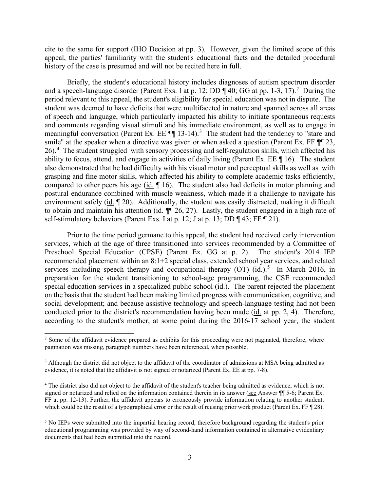cite to the same for support (IHO Decision at pp. 3). However, given the limited scope of this appeal, the parties' familiarity with the student's educational facts and the detailed procedural history of the case is presumed and will not be recited here in full.

and a speech-language disorder (Parent Exs. I at p. 12; DD  $\P$  40; GG at pp. 1-3, 17).<sup>2</sup> During the period relevant to this appeal, the student's eligibility for special education was not in dispute. The and comments regarding visual stimuli and his immediate environment, as well as to engage in meaningful conversation (Parent Ex. EE  $\P$  1[3](#page-2-1)-14).<sup>3</sup> The student had the tendency to "stare and smile" at the speaker when a directive was given or when asked a question (Parent Ex. FF  $\P$  23,  $26$ .<sup>4</sup> The student struggled with sensory processing and self-regulation skills, which affected his compared to other peers his age  $(id. \P 16)$ . The student also had deficits in motor planning and environment safely (id. 120). Additionally, the student was easily distracted, making it difficult to obtain and maintain his attention  $(id. \P\P 26, 27)$ . Lastly, the student engaged in a high rate of self-stimulatory behaviors (Parent Exs. I at p. 12; J at p. 13; DD ¶ 43; FF ¶ 21). Briefly, the student's educational history includes diagnoses of autism spectrum disorder student was deemed to have deficits that were multifaceted in nature and spanned across all areas of speech and language, which particularly impacted his ability to initiate spontaneous requests ability to focus, attend, and engage in activities of daily living (Parent Ex. EE  $\P$  16). The student also demonstrated that he had difficulty with his visual motor and perceptual skills as well as with grasping and fine motor skills, which affected his ability to complete academic tasks efficiently, postural endurance combined with muscle weakness, which made it a challenge to navigate his

 Prior to the time period germane to this appeal, the student had received early intervention Preschool Special Education (CPSE) (Parent Ex. GG at p. 2). The student's 2014 IEP services including speech therapy and occupational therapy  $(OT)$   $(id.)$ <sup>5</sup> In March 2016, in special education services in a specialized public school (id.). The parent rejected the placement services, which at the age of three transitioned into services recommended by a Committee of recommended placement within an 8:1+2 special class, extended school year services, and related preparation for the student transitioning to school-age programming, the CSE recommended on the basis that the student had been making limited progress with communication, cognitive, and social development; and because assistive technology and speech-language testing had not been conducted prior to the district's recommendation having been made (id. at pp. 2, 4). Therefore, according to the student's mother, at some point during the 2016-17 school year, the student

<span id="page-2-0"></span><sup>&</sup>lt;sup>2</sup> Some of the affidavit evidence prepared as exhibits for this proceeding were not paginated, therefore, where pagination was missing, paragraph numbers have been referenced, when possible.

<span id="page-2-1"></span> evidence, it is noted that the affidavit is not signed or notarized (Parent Ex. EE at pp. 7-8). <sup>3</sup> Although the district did not object to the affidavit of the coordinator of admissions at MSA being admitted as

<span id="page-2-2"></span><sup>&</sup>lt;sup>4</sup> The district also did not object to the affidavit of the student's teacher being admitted as evidence, which is not signed or notarized and relied on the information contained therein in its answer (see Answer  $\P$  5-6; Parent Ex. which could be the result of a typographical error or the result of reusing prior work product (Parent Ex. FF [28). FF at pp. 12-13). Further, the affidavit appears to erroneously provide information relating to another student,

<span id="page-2-3"></span><sup>&</sup>lt;sup>5</sup> No IEPs were submitted into the impartial hearing record, therefore background regarding the student's prior educational programming was provided by way of second-hand information contained in alternative evidentiary documents that had been submitted into the record.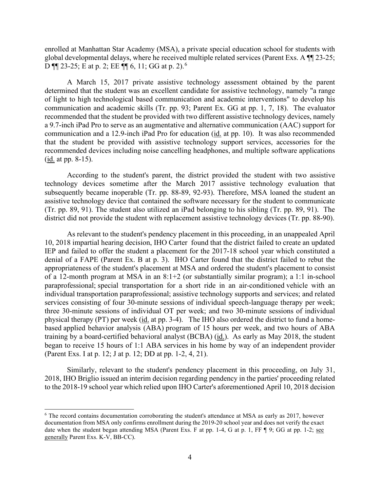enrolled at Manhattan Star Academy (MSA), a private special education school for students with global developmental delays, where he received multiple related services (Parent Exs. A ¶¶ 23-25; D  $\P$  23-25; E at p. 2; EE  $\P$  6, 11; GG at p. 2).<sup>6</sup>

 communication and academic skills (Tr. pp. 93; Parent Ex. GG at pp. 1, 7, 18). The evaluator that the student be provided with assistive technology support services, accessories for the recommended devices including noise cancelling headphones, and multiple software applications  $(id. at pp. 8-15).$ A March 15, 2017 private assistive technology assessment obtained by the parent determined that the student was an excellent candidate for assistive technology, namely "a range of light to high technological based communication and academic interventions" to develop his recommended that the student be provided with two different assistive technology devices, namely a 9.7-inch iPad Pro to serve as an augmentative and alternative communication (AAC) support for communication and a 12.9-inch iPad Pro for education (id. at pp. 10). It was also recommended

 technology devices sometime after the March 2017 assistive technology evaluation that (Tr. pp. 89, 91). The student also utilized an iPad belonging to his sibling (Tr. pp. 89, 91). The district did not provide the student with replacement assistive technology devices (Tr. pp. 88-90). According to the student's parent, the district provided the student with two assistive subsequently became inoperable (Tr. pp. 88-89, 92-93). Therefore, MSA loaned the student an assistive technology device that contained the software necessary for the student to communicate

 As relevant to the student's pendency placement in this proceeding, in an unappealed April 10, 2018 impartial hearing decision, IHO Carter found that the district failed to create an updated denial of a FAPE (Parent Ex. B at p. 3). IHO Carter found that the district failed to rebut the physical therapy (PT) per week (id. at pp. 3-4). The IHO also ordered the district to fund a hometraining by a board-certified behavioral analyst (BCBA) (id.). As early as May 2018, the student began to receive 15 hours of 1:1 ABA services in his home by way of an independent provider IEP and failed to offer the student a placement for the 2017-18 school year which constituted a appropriateness of the student's placement at MSA and ordered the student's placement to consist of a 12-month program at MSA in an 8:1+2 (or substantially similar program); a 1:1 in-school paraprofessional; special transportation for a short ride in an air-conditioned vehicle with an individual transportation paraprofessional; assistive technology supports and services; and related services consisting of four 30-minute sessions of individual speech-language therapy per week; three 30-minute sessions of individual OT per week; and two 30-minute sessions of individual based applied behavior analysis (ABA) program of 15 hours per week, and two hours of ABA (Parent Exs. I at p. 12; J at p. 12; DD at pp. 1-2, 4, 21).

 2018, IHO Briglio issued an interim decision regarding pendency in the parties' proceeding related to the 2018-19 school year which relied upon IHO Carter's aforementioned April 10, 2018 decision Similarly, relevant to the student's pendency placement in this proceeding, on July 31,

<span id="page-3-0"></span> documentation from MSA only confirms enrollment during the 2019-20 school year and does not verify the exact <sup>6</sup> The record contains documentation corroborating the student's attendance at MSA as early as 2017, however date when the student began attending MSA (Parent Exs. F at pp. 1-4, G at p. 1, FF ¶ 9; GG at pp. 1-2; see generally Parent Exs. K-V, BB-CC).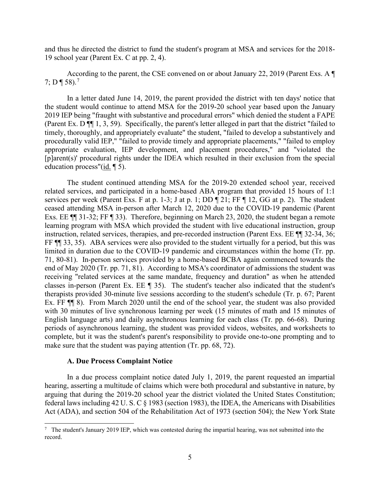19 school year (Parent Ex. C at pp. 2, 4). and thus he directed the district to fund the student's program at MSA and services for the 2018-

According to the parent, the CSE convened on or about January 22, 2019 (Parent Exs. A ¶ 7; D ¶ 58).<sup>7</sup>

 the student would continue to attend MSA for the 2019-20 school year based upon the January 2019 IEP being "fraught with substantive and procedural errors" which denied the student a FAPE (Parent Ex. D ¶¶ 1, 3, 59). Specifically, the parent's letter alleged in part that the district "failed to education process"(*id.* 15). In a letter dated June 14, 2019, the parent provided the district with ten days' notice that timely, thoroughly, and appropriately evaluate" the student, "failed to develop a substantively and procedurally valid IEP," "failed to provide timely and appropriate placements," "failed to employ appropriate evaluation, IEP development, and placement procedures," and "violated the [p]arent(s)' procedural rights under the IDEA which resulted in their exclusion from the special

 The student continued attending MSA for the 2019-20 extended school year, received related services, and participated in a home-based ABA program that provided 15 hours of 1:1 services per week (Parent Exs. F at p. 1-3; J at p. 1; DD ¶ 21; FF ¶ 12, GG at p. 2). The student FF  $\P$  33, 35). ABA services were also provided to the student virtually for a period, but this was limited in duration due to the COVID-19 pandemic and circumstances within the home (Tr. pp. 71, 80-81). In-person services provided by a home-based BCBA again commenced towards the end of May 2020 (Tr. pp. 71, 81). According to MSA's coordinator of admissions the student was Ex. FF  $\P$  8). From March 2020 until the end of the school year, the student was also provided with 30 minutes of live synchronous learning per week (15 minutes of math and 15 minutes of English language arts) and daily asynchronous learning for each class (Tr. pp. 66-68). During ceased attending MSA in-person after March 12, 2020 due to the COVID-19 pandemic (Parent Exs. EE ¶¶ 31-32; FF ¶ 33). Therefore, beginning on March 23, 2020, the student began a remote learning program with MSA which provided the student with live educational instruction, group instruction, related services, therapies, and pre-recorded instruction (Parent Exs. EE ¶¶ 32-34, 36; receiving "related services at the same mandate, frequency and duration" as when he attended classes in-person (Parent Ex. EE ¶ 35). The student's teacher also indicated that the student's therapists provided 30-minute live sessions according to the student's schedule (Tr. p. 67; Parent periods of asynchronous learning, the student was provided videos, websites, and worksheets to complete, but it was the student's parent's responsibility to provide one-to-one prompting and to make sure that the student was paying attention (Tr. pp. 68, 72).

## **A. Due Process Complaint Notice**

arguing that during the 2019-20 school year the district violated the United States Constitution; In a due process complaint notice dated July 1, 2019, the parent requested an impartial hearing, asserting a multitude of claims which were both procedural and substantive in nature, by federal laws including 42 U.S. C  $\S$  1983 (section 1983), the IDEA, the Americans with Disabilities Act (ADA), and section 504 of the Rehabilitation Act of 1973 (section 504); the New York State

<span id="page-4-0"></span> $7$  The student's January 2019 IEP, which was contested during the impartial hearing, was not submitted into the record.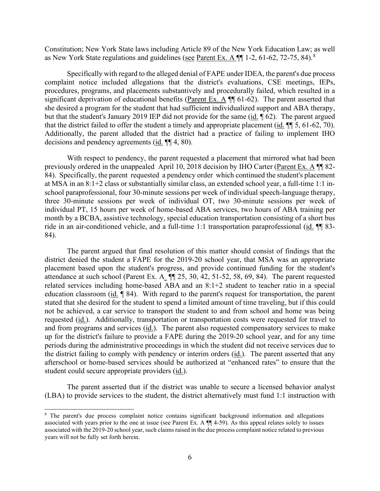as New York State regulations and guidelines (see Parent Ex. A  $\P$  1-2, 61-62, 72-75, 84).<sup>8</sup> Constitution; New York State laws including Article 89 of the New York Education Law; as well

significant deprivation of educational benefits (Parent Ex. A  $\P$  61-62). The parent asserted that but that the student's January 2019 IEP did not provide for the same (id. 162). The parent argued that the district failed to offer the student a timely and appropriate placement  $(\underline{\text{id}}, \P \P$  5, 61-62, 70). decisions and pendency agreements  $(i_d$ .  $\P$  $[4, 80)$ . Specifically with regard to the alleged denial of FAPE under IDEA, the parent's due process complaint notice included allegations that the district's evaluations, CSE meetings, IEPs, procedures, programs, and placements substantively and procedurally failed, which resulted in a she desired a program for the student that had sufficient individualized support and ABA therapy, Additionally, the parent alluded that the district had a practice of failing to implement IHO

 With respect to pendency, the parent requested a placement that mirrored what had been previously ordered in the unappealed April 10, 2018 decision by IHO Carter (Parent Ex. A ¶¶ 82- 84). Specifically, the parent requested a pendency order which continued the student's placement at MSA in an 8:1+2 class or substantially similar class, an extended school year, a full-time 1:1 in- individual PT, 15 hours per week of home-based ABA services, two hours of ABA training per ride in an air-conditioned vehicle, and a full-time 1:1 transportation paraprofessional (id. ¶ 83school paraprofessional, four 30-minute sessions per week of individual speech-language therapy, three 30-minute sessions per week of individual OT, two 30-minute sessions per week of month by a BCBA, assistive technology, special education transportation consisting of a short bus 84).

 The parent argued that final resolution of this matter should consist of findings that the placement based upon the student's progress, and provide continued funding for the student's attendance at such school (Parent Ex. A  $\P$  25, 30, 42, 51-52, 58, 69, 84). The parent requested related services including home-based ABA and an 8:1+2 student to teacher ratio in a special education classroom (id. 184). With regard to the parent's request for transportation, the parent requested (id.). Additionally, transportation or transportation costs were requested for travel to and from programs and services (*id.*). The parent also requested compensatory services to make the district failing to comply with pendency or interim orders (id.). The parent asserted that any student could secure appropriate providers (*id.*). district denied the student a FAPE for the 2019-20 school year, that MSA was an appropriate stated that she desired for the student to spend a limited amount of time traveling, but if this could not be achieved, a car service to transport the student to and from school and home was being up for the district's failure to provide a FAPE during the 2019-20 school year, and for any time periods during the administrative proceedings in which the student did not receive services due to afterschool or home-based services should be authorized at "enhanced rates" to ensure that the

 The parent asserted that if the district was unable to secure a licensed behavior analyst (LBA) to provide services to the student, the district alternatively must fund 1:1 instruction with

<span id="page-5-0"></span><sup>8</sup> The parent's due process complaint notice contains significant background information and allegations associated with years prior to the one at issue (see Parent Ex. A ¶¶ 4-59). As this appeal relates solely to issues associated with the 2019-20 school year, such claims raised in the due process complaint notice related to previous years will not be fully set forth herein.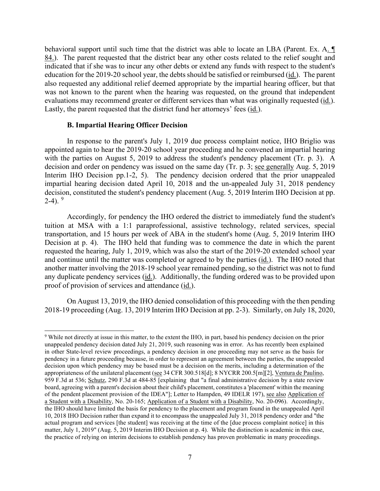behavioral support until such time that the district was able to locate an LBA (Parent. Ex. A. 84.). The parent requested that the district bear any other costs related to the relief sought and education for the 2019-20 school year, the debts should be satisfied or reimbursed (*id.*). The parent also requested any additional relief deemed appropriate by the impartial hearing officer, but that evaluations may recommend greater or different services than what was originally requested (*id.*). indicated that if she was to incur any other debts or extend any funds with respect to the student's was not known to the parent when the hearing was requested, on the ground that independent Lastly, the parent requested that the district fund her attorneys' fees (id.).

## **B. Impartial Hearing Officer Decision**

 with the parties on August 5, 2019 to address the student's pendency placement (Tr. p. 3). A decision and order on pendency was issued on the same day (Tr. p. 3; see generally Aug. 5, 2019 Interim IHO Decision pp.1-2, 5). The pendency decision ordered that the prior unappealed 2-4).  $9$ In response to the parent's July 1, 2019 due process complaint notice, IHO Briglio was appointed again to hear the 2019-20 school year proceeding and he convened an impartial hearing impartial hearing decision dated April 10, 2018 and the un-appealed July 31, 2018 pendency decision, constituted the student's pendency placement (Aug. 5, 2019 Interim IHO Decision at pp.

 Accordingly, for pendency the IHO ordered the district to immediately fund the student's Decision at p. 4). The IHO held that funding was to commence the date in which the parent requested the hearing, July 1, 2019, which was also the start of the 2019-20 extended school year another matter involving the 2018-19 school year remained pending, so the district was not to fund any duplicate pendency services (*id.*). Additionally, the funding ordered was to be provided upon proof of provision of services and attendance (*id.*). tuition at MSA with a 1:1 paraprofessional, assistive technology, related services, special transportation, and 15 hours per week of ABA in the student's home (Aug. 5, 2019 Interim IHO and continue until the matter was completed or agreed to by the parties (id.). The IHO noted that

 On August 13, 2019, the IHO denied consolidation of this proceeding with the then pending 2018-19 proceeding (Aug. 13, 2019 Interim IHO Decision at pp. 2-3). Similarly, on July 18, 2020,

<span id="page-6-0"></span> unappealed pendency decision dated July 21, 2019, such reasoning was in error. As has recently been explained appropriateness of the unilateral placement (see 34 CFR 300.518[d]; 8 NYCRR 200.5[m][2], Ventura de Paulino, a Student with a Disability, No. 20-165; Application of a Student with a Disability, No. 20-096). Accordingly, matter, July 1, 2019" (Aug. 5, 2019 Interim IHO Decision at p. 4). While the distinction is academic in this case, 9 While not directly at issue in this matter, to the extent the IHO, in part, based his pendency decision on the prior in other State-level review proceedings, a pendency decision in one proceeding may not serve as the basis for pendency in a future proceeding because, in order to represent an agreement between the parties, the unappealed decision upon which pendency may be based must be a decision on the merits, including a determination of the 959 F.3d at 536; Schutz, 290 F.3d at 484-85 [explaining that "a final administrative decision by a state review board, agreeing with a parent's decision about their child's placement, constitutes a 'placement' within the meaning of the pendent placement provision of the IDEA"]; Letter to Hampden, 49 IDELR 197), see also Application of the IHO should have limited the basis for pendency to the placement and program found in the unappealed April 10, 2018 IHO Decision rather than expand it to encompass the unappealed July 31, 2018 pendency order and "the actual program and services [the student] was receiving at the time of the [due process complaint notice] in this the practice of relying on interim decisions to establish pendency has proven problematic in many proceedings.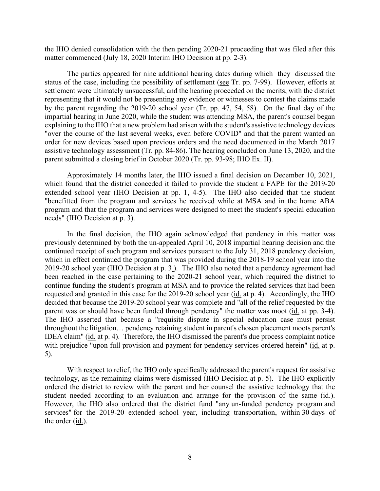matter commenced (July 18, 2020 Interim IHO Decision at pp. 2-3). the IHO denied consolidation with the then pending 2020-21 proceeding that was filed after this

 The parties appeared for nine additional hearing dates during which they discussed the settlement were ultimately unsuccessful, and the hearing proceeded on the merits, with the district representing that it would not be presenting any evidence or witnesses to contest the claims made by the parent regarding the 2019-20 school year (Tr. pp. 47, 54, 58). On the final day of the impartial hearing in June 2020, while the student was attending MSA, the parent's counsel began "over the course of the last several weeks, even before COVID" and that the parent wanted an parent submitted a closing brief in October 2020 (Tr. pp. 93-98; IHO Ex. II). status of the case, including the possibility of settlement (see Tr. pp. 7-99). However, efforts at explaining to the IHO that a new problem had arisen with the student's assistive technology devices order for new devices based upon previous orders and the need documented in the March 2017 assistive technology assessment (Tr. pp. 84-86). The hearing concluded on June 13, 2020, and the

Approximately 14 months later, the IHO issued a final decision on December 10, 2021, which found that the district conceded it failed to provide the student a FAPE for the 2019-20 extended school year (IHO Decision at pp. 1, 4-5). The IHO also decided that the student "benefitted from the program and services he received while at MSA and in the home ABA program and that the program and services were designed to meet the student's special education needs" (IHO Decision at p. 3).

 previously determined by both the un-appealed April 10, 2018 impartial hearing decision and the 2019-20 school year (IHO Decision at p. 3 ). The IHO also noted that a pendency agreement had been reached in the case pertaining to the 2020-21 school year, which required the district to requested and granted in this case for the 2019-20 school year (*id.* at p. 4). Accordingly, the IHO parent was or should have been funded through pendency" the matter was moot (id. at pp. 3-4). IDEA claim" (id. at p. 4). Therefore, the IHO dismissed the parent's due process complaint notice with prejudice "upon full provision and payment for pendency services ordered herein" (id. at p. In the final decision, the IHO again acknowledged that pendency in this matter was continued receipt of such program and services pursuant to the July 31, 2018 pendency decision, which in effect continued the program that was provided during the 2018-19 school year into the continue funding the student's program at MSA and to provide the related services that had been decided that because the 2019-20 school year was complete and "all of the relief requested by the The IHO asserted that because a "requisite dispute in special education case must persist throughout the litigation… pendency retaining student in parent's chosen placement moots parent's 5).

 technology, as the remaining claims were dismissed (IHO Decision at p. 5). The IHO explicitly services" for the 2019-20 extended school year, including transportation, within 30 days of the order (<u>id.</u>). With respect to relief, the IHO only specifically addressed the parent's request for assistive ordered the district to review with the parent and her counsel the assistive technology that the student needed according to an evaluation and arrange for the provision of the same (id.). However, the IHO also ordered that the district fund "any un-funded pendency program and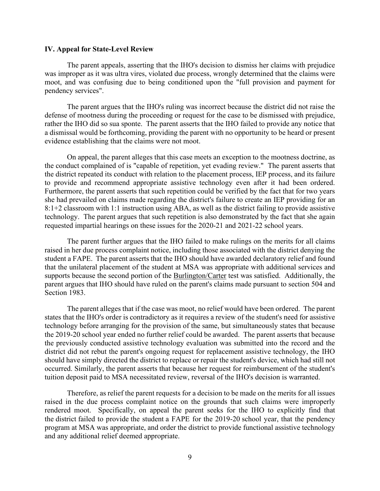#### **IV. Appeal for State-Level Review**

 was improper as it was ultra vires, violated due process, wrongly determined that the claims were pendency services". The parent appeals, asserting that the IHO's decision to dismiss her claims with prejudice moot, and was confusing due to being conditioned upon the "full provision and payment for

 a dismissal would be forthcoming, providing the parent with no opportunity to be heard or present The parent argues that the IHO's ruling was incorrect because the district did not raise the defense of mootness during the proceeding or request for the case to be dismissed with prejudice, rather the IHO did so sua sponte. The parent asserts that the IHO failed to provide any notice that evidence establishing that the claims were not moot.

 the conduct complained of is "capable of repetition, yet evading review." The parent asserts that to provide and recommend appropriate assistive technology even after it had been ordered. she had prevailed on claims made regarding the district's failure to create an IEP providing for an 8:1+2 classroom with 1:1 instruction using ABA, as well as the district failing to provide assistive technology. The parent argues that such repetition is also demonstrated by the fact that she again requested impartial hearings on these issues for the 2020-21 and 2021-22 school years. On appeal, the parent alleges that this case meets an exception to the mootness doctrine, as the district repeated its conduct with relation to the placement process, IEP process, and its failure Furthermore, the parent asserts that such repetition could be verified by the fact that for two years

 The parent further argues that the IHO failed to make rulings on the merits for all claims student a FAPE. The parent asserts that the IHO should have awarded declaratory relief and found raised in her due process complaint notice, including those associated with the district denying the that the unilateral placement of the student at MSA was appropriate with additional services and supports because the second portion of the Burlington/Carter test was satisfied. Additionally, the parent argues that IHO should have ruled on the parent's claims made pursuant to section 504 and Section 1983.

 states that the IHO's order is contradictory as it requires a review of the student's need for assistive district did not rebut the parent's ongoing request for replacement assistive technology, the IHO The parent alleges that if the case was moot, no relief would have been ordered. The parent technology before arranging for the provision of the same, but simultaneously states that because the 2019-20 school year ended no further relief could be awarded. The parent asserts that because the previously conducted assistive technology evaluation was submitted into the record and the should have simply directed the district to replace or repair the student's device, which had still not occurred. Similarly, the parent asserts that because her request for reimbursement of the student's tuition deposit paid to MSA necessitated review, reversal of the IHO's decision is warranted.

 the district failed to provide the student a FAPE for the 2019-20 school year, that the pendency program at MSA was appropriate, and order the district to provide functional assistive technology Therefore, as relief the parent requests for a decision to be made on the merits for all issues raised in the due process complaint notice on the grounds that such claims were improperly rendered moot. Specifically, on appeal the parent seeks for the IHO to explicitly find that and any additional relief deemed appropriate.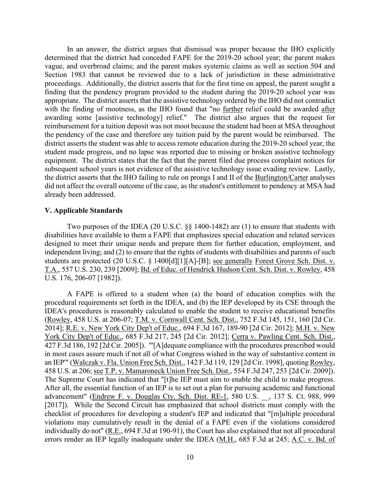vague, and overbroad claims; and the parent makes systemic claims as well as section 504 and Section 1983 that cannot be reviewed due to a lack of jurisdiction in these administrative proceedings. Additionally, the district asserts that for the first time on appeal, the parent sought a appropriate. The district asserts that the assistive technology ordered by the IHO did not contradict with the finding of mootness, as the IHO found that "no further relief could be awarded after awarding some [assistive technology] relief." The district also argues that the request for reimbursement for a tuition deposit was not moot because the student had been at MSA throughout subsequent school years is not evidence of the assistive technology issue evading review. Lastly, the district asserts that the IHO failing to rule on prongs I and II of the **Burlington/Carter** analyses In an answer, the district argues that dismissal was proper because the IHO explicitly determined that the district had conceded FAPE for the 2019-20 school year; the parent makes finding that the pendency program provided to the student during the 2019-20 school year was the pendency of the case and therefore any tuition paid by the parent would be reimbursed. The district asserts the student was able to access remote education during the 2019-20 school year, the student made progress, and no lapse was reported due to missing or broken assistive technology equipment. The district states that the fact that the parent filed due process complaint notices for did not affect the overall outcome of the case, as the student's entitlement to pendency at MSA had already been addressed.

## **V. Applicable Standards**

Two purposes of the IDEA (20 U.S.C. §§ 1400-1482) are (1) to ensure that students with disabilities have available to them a FAPE that emphasizes special education and related services designed to meet their unique needs and prepare them for further education, employment, and independent living; and (2) to ensure that the rights of students with disabilities and parents of such students are protected (20 U.S.C. § 1400[d][1][A]-[B]; see generally Forest Grove Sch. Dist. v. T.A., 557 U.S. 230, 239 [2009]; Bd. of Educ. of Hendrick Hudson Cent. Sch. Dist. v. Rowley, 458 U.S. 176, 206-07 [1982]).

 A FAPE is offered to a student when (a) the board of education complies with the 2014]; <u>R.E. v. New York City Dep't of Educ.</u>, 694 F.3d 167, 189-90 [2d Cir. 2012]; <u>M.H. v. New</u> 458 U.S. at 206; see T.P. v. Mamaroneck Union Free Sch. Dist., 554 F.3d 247, 253 [2d Cir. 2009]). errors render an IEP legally inadequate under the IDEA (M.H., 685 F.3d at 245; A.C. v. Bd. of procedural requirements set forth in the IDEA, and (b) the IEP developed by its CSE through the IDEA's procedures is reasonably calculated to enable the student to receive educational benefits (Rowley, 458 U.S. at 206-07; T.M. v. Cornwall Cent. Sch. Dist., 752 F.3d 145, 151, 160 [2d Cir. York City Dep't of Educ., 685 F.3d 217, 245 [2d Cir. 2012]; Cerra v. Pawling Cent. Sch. Dist., 427 F.3d 186, 192 [2d Cir. 2005]). "'[A]dequate compliance with the procedures prescribed would in most cases assure much if not all of what Congress wished in the way of substantive content in an IEP'" (Walczak v. Fla. Union Free Sch. Dist., 142 F.3d 119, 129 [2d Cir. 1998], quoting Rowley, 458 U.S. at 206; <u>see T.P. v. Mamaroneck Union Free Sch. Dist.</u>, 554 F.3d 247, 253 [2d Cir. 2009]).<br>The Supreme Court has indicated that "[t]he IEP must aim to enable the child to make progress.<br>After all, the essential fu advancement" (Endrew F. v. Douglas Cty. Sch. Dist. RE-1, 580 U.S. \_\_, 137 S. Ct. 988, 999 [2017]). While the Second Circuit has emphasized that school districts must comply with the checklist of procedures for developing a student's IEP and indicated that "[m]ultiple procedural violations may cumulatively result in the denial of a FAPE even if the violations considered individually do not" (R.E., 694 F.3d at 190-91), the Court has also explained that not all procedural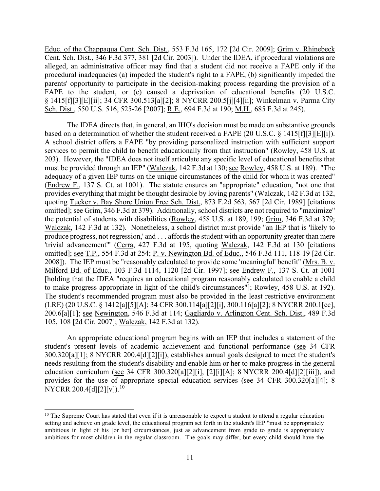parents' opportunity to participate in the decision-making process regarding the provision of a Educ. of the Chappaqua Cent. Sch. Dist., 553 F.3d 165, 172 [2d Cir. 2009]; Grim v. Rhinebeck Cent. Sch. Dist., 346 F.3d 377, 381 [2d Cir. 2003]). Under the IDEA, if procedural violations are alleged, an administrative officer may find that a student did not receive a FAPE only if the procedural inadequacies (a) impeded the student's right to a FAPE, (b) significantly impeded the FAPE to the student, or (c) caused a deprivation of educational benefits (20 U.S.C. § 1415[f][3][E][ii]; 34 CFR 300.513[a][2]; 8 NYCRR 200.5[j][4][ii]; Winkelman v. Parma City Sch. Dist., 550 U.S. 516, 525-26 [2007]; R.E., 694 F.3d at 190; M.H., 685 F.3d at 245).

based on a determination of whether the student received a FAPE (20 U.S.C. § 1415[f][3][E][i]). adequacy of a given IEP turns on the unique circumstances of the child for whom it was created" produce progress, not regression,' and . . . affords the student with an opportunity greater than mere 200.6[a][1]; <u>see Newington,</u> 546 F.3d at 114; Gagliardo v. Arlington Cent. Sch. Dist., 489 F.3d The IDEA directs that, in general, an IHO's decision must be made on substantive grounds A school district offers a FAPE "by providing personalized instruction with sufficient support services to permit the child to benefit educationally from that instruction" (Rowley, 458 U.S. at 203). However, the "IDEA does not itself articulate any specific level of educational benefits that must be provided through an IEP" (Walczak, 142 F.3d at 130; see Rowley, 458 U.S. at 189). "The (Endrew F., 137 S. Ct. at 1001). The statute ensures an "appropriate" education, "not one that provides everything that might be thought desirable by loving parents" (Walczak, 142 F.3d at 132, quoting Tucker v. Bay Shore Union Free Sch. Dist., 873 F.2d 563, 567 [2d Cir. 1989] [citations omitted]; see Grim, 346 F.3d at 379). Additionally, school districts are not required to "maximize" the potential of students with disabilities (Rowley, 458 U.S. at 189, 199; Grim, 346 F.3d at 379; Walczak, 142 F.3d at 132). Nonetheless, a school district must provide "an IEP that is 'likely to 'trivial advancement'" (Cerra, 427 F.3d at 195, quoting Walczak, 142 F.3d at 130 [citations omitted]; see T.P., 554 F.3d at 254; P. v. Newington Bd. of Educ., 546 F.3d 111, 118-19 [2d Cir. 2008]). The IEP must be "reasonably calculated to provide some 'meaningful' benefit" (Mrs. B. v. Milford Bd. of Educ., 103 F.3d 1114, 1120 [2d Cir. 1997]; see Endrew F., 137 S. Ct. at 1001 [holding that the IDEA "requires an educational program reasonably calculated to enable a child to make progress appropriate in light of the child's circumstances"]; Rowley, 458 U.S. at 192). The student's recommended program must also be provided in the least restrictive environment (LRE) (20 U.S.C. § 1412[a][5][A]; 34 CFR 300.114[a][2][i], 300.116[a][2]; 8 NYCRR 200.1[cc], 105, 108 [2d Cir. 2007]; Walczak, 142 F.3d at 132).

education curriculum (see 34 CFR 300.320[a][2][i], [2][i][A]; 8 NYCRR 200.4[d][2][iii]), and An appropriate educational program begins with an IEP that includes a statement of the student's present levels of academic achievement and functional performance (see 34 CFR 300.320[a][1]; 8 NYCRR 200.4[d][2][i]), establishes annual goals designed to meet the student's needs resulting from the student's disability and enable him or her to make progress in the general provides for the use of appropriate special education services (see 34 CFR 300.320[a][4]; 8 NYCRR 200.4[d][2][v]).<sup>[10](#page-10-0)</sup>

<span id="page-10-0"></span> setting and achieve on grade level, the educational program set forth in the student's IEP "must be appropriately ambitious in light of his [or her] circumstances, just as advancement from grade to grade is appropriately  $10$  The Supreme Court has stated that even if it is unreasonable to expect a student to attend a regular education ambitious for most children in the regular classroom. The goals may differ, but every child should have the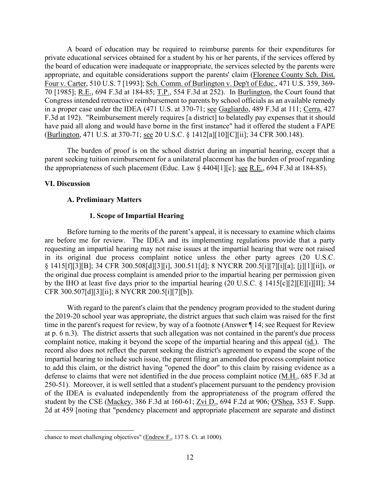70 [1985]; R.E., 694 F.3d at 184-85; T.P., 554 F.3d at 252). In Burlington, the Court found that in a proper case under the IDEA (471 U.S. at 370-71; see Gagliardo, 489 F.3d at 111; Cerra, 427 (Burlington, 471 U.S. at 370-71; <u>see</u> 20 U.S.C. § 1412[a][10][C][ii]; 34 CFR 300.148). A board of education may be required to reimburse parents for their expenditures for private educational services obtained for a student by his or her parents, if the services offered by the board of education were inadequate or inappropriate, the services selected by the parents were appropriate, and equitable considerations support the parents' claim (Florence County Sch. Dist. Four v. Carter, 510 U.S. 7 [1993]; Sch. Comm. of Burlington v. Dep't of Educ., 471 U.S. 359, 369- Congress intended retroactive reimbursement to parents by school officials as an available remedy F.3d at 192). "Reimbursement merely requires [a district] to belatedly pay expenses that it should have paid all along and would have borne in the first instance" had it offered the student a FAPE

the appropriateness of such placement (Educ. Law  $\S$  4404[1][c]; <u>see R.E.</u>, 694 F.3d at 184-85). The burden of proof is on the school district during an impartial hearing, except that a parent seeking tuition reimbursement for a unilateral placement has the burden of proof regarding

# **VI. Discussion**

# **A. Preliminary Matters**

# **1. Scope of Impartial Hearing**

 are before me for review. The IDEA and its implementing regulations provide that a party by the IHO at least five days prior to the impartial hearing (20 U.S.C. § 1415[c][2][E][i][II]; 34 Before turning to the merits of the parent's appeal, it is necessary to examine which claims requesting an impartial hearing may not raise issues at the impartial hearing that were not raised in its original due process complaint notice unless the other party agrees (20 U.S.C. § 1415[f][3][B]; 34 CFR 300.508[d][3][i], 300.511[d]; 8 NYCRR 200.5[i][7][i][a]; [j][1][ii]), or the original due process complaint is amended prior to the impartial hearing per permission given CFR 300.507[d][3][ii]; 8 NYCRR 200.5[i][7][b]).

defense to claims that were not identified in the due process complaint notice (M.H., 685 F.3d at 2d at 459 [noting that "pendency placement and appropriate placement are separate and distinct With regard to the parent's claim that the pendency program provided to the student during the 2019-20 school year was appropriate, the district argues that such claim was raised for the first time in the parent's request for review, by way of a footnote (Answer ¶ 14; see Request for Review at p. 6 n.3). The district asserts that such allegation was not contained in the parent's due process complaint notice, making it beyond the scope of the impartial hearing and this appeal (id.). The record also does not reflect the parent seeking the district's agreement to expand the scope of the impartial hearing to include such issue, the parent filing an amended due process complaint notice to add this claim, or the district having "opened the door" to this claim by raising evidence as a 250-51). Moreover, it is well settled that a student's placement pursuant to the pendency provision of the IDEA is evaluated independently from the appropriateness of the program offered the student by the CSE (Mackey, 386 F.3d at 160-61; Zvi D., 694 F.2d at 906; O'Shea, 353 F. Supp.

chance to meet challenging objectives" (Endrew F., 137 S. Ct. at 1000).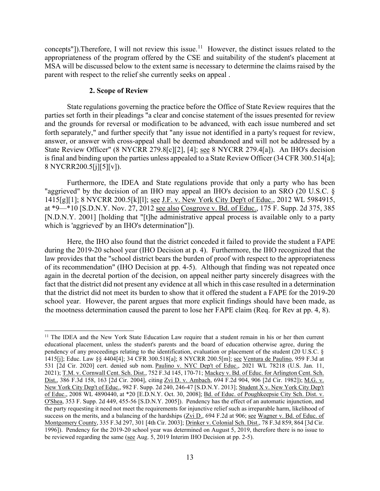concepts"]). Therefore, I will not review this issue.<sup>[11](#page-12-0)</sup> However, the distinct issues related to the appropriateness of the program offered by the CSE and suitability of the student's placement at parent with respect to the relief she currently seeks on appeal . MSA will be discussed below to the extent same is necessary to determine the claims raised by the

## **2. Scope of Review**

State regulations governing the practice before the Office of State Review requires that the parties set forth in their pleadings "a clear and concise statement of the issues presented for review and the grounds for reversal or modification to be advanced, with each issue numbered and set forth separately," and further specify that "any issue not identified in a party's request for review, answer, or answer with cross-appeal shall be deemed abandoned and will not be addressed by a State Review Officer" (8 NYCRR 279.8[c][2], [4]; <u>see</u> 8 NYCRR 279.4[a]). An IHO's decision is final and binding upon the parties unless appealed to a State Review Officer (34 CFR 300.514[a]; 8 NYCRR200.5[j][5][v]).

at \*9—\*10 [S.D.N.Y. Nov. 27, 2012 see also Cosgrove v. Bd. of Educ., 175 F. Supp. 2d 375, 385 Furthermore, the IDEA and State regulations provide that only a party who has been "aggrieved" by the decision of an IHO may appeal an IHO's decision to an SRO (20 U.S.C. § 1415[g][1]; 8 NYCRR 200.5[k][l]; see J.F. v. New York City Dep't of Educ., 2012 WL 5984915, [N.D.N.Y. 2001] [holding that "[t]he administrative appeal process is available only to a party which is 'aggrieved' by an IHO's determination"]).

 Here, the IHO also found that the district conceded it failed to provide the student a FAPE during the 2019-20 school year (IHO Decision at p. 4). Furthermore, the IHO recognized that the of its recommendation" (IHO Decision at pp. 4-5). Although that finding was not repeated once again in the decretal portion of the decision, on appeal neither party sincerely disagrees with the fact that the district did not present any evidence at all which in this case resulted in a determination that the district did not meet its burden to show that it offered the student a FAPE for the 2019-20 school year. However, the parent argues that more explicit findings should have been made, as the mootness determination caused the parent to lose her FAPE claim (Req. for Rev at pp. 4, 8). law provides that the "school district bears the burden of proof with respect to the appropriateness

<span id="page-12-0"></span> educational placement, unless the student's parents and the board of education otherwise agree, during the 1415[j]; Educ. Law §§ 4404[4]; 34 CFR 300.518[a]; 8 NYCRR 200.5[m]; <u>see Ventura de Paulino</u>, 959 F.3d at Dist., 386 F.3d 158, 163 [2d Cir. 2004], citing Zvi D. v. Ambach, 694 F.2d 904, 906 [2d Cir. 1982]); M.G. v. of Educ., 2008 WL 4890440, at \*20 [E.D.N.Y. Oct. 30, 2008]; Bd. of Educ. of Poughkeepsie City Sch. Dist. v. O'Shea, 353 F. Supp. 2d 449, 455-56 [S.D.N.Y. 2005]). Pendency has the effect of an automatic injunction, and success on the merits, and a balancing of the hardships  $(Zvi D<sub>x</sub>, 694 F.2d$  at 906; <u>see Wagner v. Bd. of Educ. of</u> 1996]). Pendency for the 2019-20 school year was determined on August 5, 2019, therefore there is no issue to be reviewed regarding the same (see Aug. 5, 2019 Interim IHO Decision at pp. 2-5). <sup>11</sup> The IDEA and the New York State Education Law require that a student remain in his or her then current pendency of any proceedings relating to the identification, evaluation or placement of the student (20 U.S.C. § 531 [2d Cir. 2020] cert. denied sub nom. Paulino v. NYC Dep't of Educ., 2021 WL 78218 (U.S. Jan. 11, 2021); T.M. v. Cornwall Cent. Sch. Dist., 752 F.3d 145, 170-71; Mackey v. Bd. of Educ. for Arlington Cent. Sch. New York City Dep't of Educ., 982 F. Supp. 2d 240, 246-47 [S.D.N.Y. 2013]; Student X v. New York City Dep't the party requesting it need not meet the requirements for injunctive relief such as irreparable harm, likelihood of Montgomery County, 335 F.3d 297, 301 [4th Cir. 2003]; Drinker v. Colonial Sch. Dist., 78 F.3d 859, 864 [3d Cir.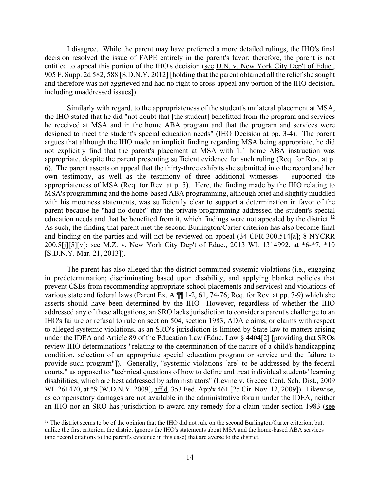I disagree. While the parent may have preferred a more detailed rulings, the IHO's final decision resolved the issue of FAPE entirely in the parent's favor; therefore, the parent is not entitled to appeal this portion of the IHO's decision (see D.N. v. New York City Dep't of Educ., 905 F. Supp. 2d 582, 588 [S.D.N.Y. 2012] [holding that the parent obtained all the relief she sought and therefore was not aggrieved and had no right to cross-appeal any portion of the IHO decision, including unaddressed issues]).

 designed to meet the student's special education needs" (IHO Decision at pp. 3-4). The parent own testimony, as well as the testimony of three additional witnesses supported the appropriateness of MSA (Req. for Rev. at p. 5). Here, the finding made by the IHO relating to education needs and that be benefited from it, which findings were not appealed by the district.<sup>[12](#page-13-0)</sup> As such, the finding that parent met the second **Burlington/Carter** criterion has also become final Similarly with regard, to the appropriateness of the student's unilateral placement at MSA, the IHO stated that he did "not doubt that [the student] benefitted from the program and services he received at MSA and in the home ABA program and that the program and services were argues that although the IHO made an implicit finding regarding MSA being appropriate, he did not explicitly find that the parent's placement at MSA with 1:1 home ABA instruction was appropriate, despite the parent presenting sufficient evidence for such ruling (Req. for Rev. at p. 6). The parent asserts on appeal that the thirty-three exhibits she submitted into the record and her MSA's programming and the home-based ABA programming, although brief and slightly muddled with his mootness statements, was sufficiently clear to support a determination in favor of the parent because he "had no doubt" that the private programming addressed the student's special and binding on the parties and will not be reviewed on appeal (34 CFR 300.514[a]; 8 NYCRR 200.5[j][5][v]; see M.Z. v. New York City Dep't of Educ., 2013 WL 1314992, at \*6-\*7, \*10 [S.D.N.Y. Mar. 21, 2013]).

 The parent has also alleged that the district committed systemic violations (i.e., engaging various state and federal laws (Parent Ex. A ¶¶ 1-2, 61, 74-76; Req. for Rev. at pp. 7-9) which she asserts should have been determined by the IHO However, regardless of whether the IHO under the IDEA and Article 89 of the Education Law (Educ. Law § 4404[2] [providing that SROs in predetermination; discriminating based upon disability, and applying blanket policies that prevent CSEs from recommending appropriate school placements and services) and violations of addressed any of these allegations, an SRO lacks jurisdiction to consider a parent's challenge to an IHO's failure or refusal to rule on section 504, section 1983, ADA claims, or claims with respect to alleged systemic violations, as an SRO's jurisdiction is limited by State law to matters arising review IHO determinations "relating to the determination of the nature of a child's handicapping condition, selection of an appropriate special education program or service and the failure to provide such program"]). Generally, "systemic violations [are] to be addressed by the federal courts," as opposed to "technical questions of how to define and treat individual students' learning disabilities, which are best addressed by administrators" (Levine v. Greece Cent. Sch. Dist., 2009 WL 261470, at \*9 [W.D.N.Y. 2009], aff'd, 353 Fed. App'x 461 [2d Cir. Nov. 12, 2009]). Likewise, as compensatory damages are not available in the administrative forum under the IDEA, neither an IHO nor an SRO has jurisdiction to award any remedy for a claim under section 1983 (see

<span id="page-13-0"></span> unlike the first criterion, the district ignores the IHO's statements about MSA and the home-based ABA services  $12$  The district seems to be of the opinion that the IHO did not rule on the second Burlington/Carter criterion, but, (and record citations to the parent's evidence in this case) that are averse to the district.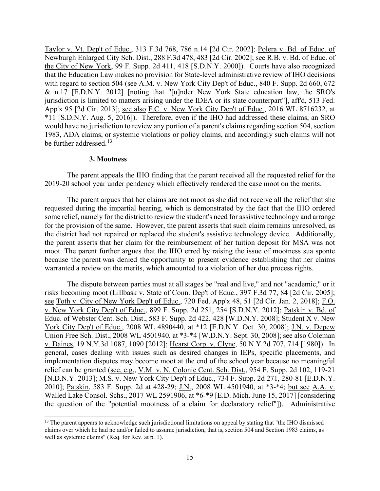be further addressed.<sup>13</sup> Taylor v. Vt. Dep't of Educ., 313 F.3d 768, 786 n.14 [2d Cir. 2002]; Polera v. Bd. of Educ. of Newburgh Enlarged City Sch. Dist., 288 F.3d 478, 483 [2d Cir. 2002]; see R.B. v. Bd. of Educ. of the City of New York, 99 F. Supp. 2d 411, 418 [S.D.N.Y. 2000]). Courts have also recognized that the Education Law makes no provision for State-level administrative review of IHO decisions with regard to section 504 (see A.M. v. New York City Dep't of Educ., 840 F. Supp. 2d 660, 672 & n.17 [E.D.N.Y. 2012] [noting that "[u]nder New York State education law, the SRO's jurisdiction is limited to matters arising under the IDEA or its state counterpart"], aff'd, 513 Fed. App'x 95 [2d Cir. 2013]; see also F.C. v. New York City Dep't of Educ., 2016 WL 8716232, at \*11 [S.D.N.Y. Aug. 5, 2016]). Therefore, even if the IHO had addressed these claims, an SRO would have no jurisdiction to review any portion of a parent's claims regarding section 504, section 1983, ADA claims, or systemic violations or policy claims, and accordingly such claims will not

# **3. Mootness**

 The parent appeals the IHO finding that the parent received all the requested relief for the 2019-20 school year under pendency which effectively rendered the case moot on the merits.

 moot. The parent further argues that the IHO erred by raising the issue of mootness sua sponte because the parent was denied the opportunity to present evidence establishing that her claims warranted a review on the merits, which amounted to a violation of her due process rights. The parent argues that her claims are not moot as she did not receive all the relief that she requested during the impartial hearing, which is demonstrated by the fact that the IHO ordered some relief, namely for the district to review the student's need for assistive technology and arrange for the provision of the same. However, the parent asserts that such claim remains unresolved, as the district had not repaired or replaced the student's assistive technology device. Additionally, the parent asserts that her claim for the reimbursement of her tuition deposit for MSA was not

York City Dep't of Educ., 2008 WL 4890440, at \*12 [E.D.N.Y. Oct. 30, 2008]; J.N. v. Depew v. Daines, 19 N.Y.3d 1087, 1090 [2012]; Hearst Corp. v. Clyne, 50 N.Y.2d 707, 714 [1980]). In 2010]; Patskin, 583 F. Supp. 2d at 428-29; J.N., 2008 WL 4501940, at \*3-\*4; but see A.A. v. The dispute between parties must at all stages be "real and live," and not "academic," or it risks becoming moot (Lillbask v. State of Conn. Dep't of Educ., 397 F.3d 77, 84 [2d Cir. 2005]; see Toth v. City of New York Dep't of Educ., 720 Fed. App'x 48, 51 [2d Cir. Jan. 2, 2018]; F.O. v. New York City Dep't of Educ., 899 F. Supp. 2d 251, 254 [S.D.N.Y. 2012]; Patskin v. Bd. of Educ. of Webster Cent. Sch. Dist., 583 F. Supp. 2d 422, 428 [W.D.N.Y. 2008]; Student X v. New Union Free Sch. Dist., 2008 WL 4501940, at \*3-\*4 [W.D.N.Y. Sept. 30, 2008]; see also Coleman general, cases dealing with issues such as desired changes in IEPs, specific placements, and implementation disputes may become moot at the end of the school year because no meaningful relief can be granted (see, e.g., V.M. v. N. Colonie Cent. Sch. Dist., 954 F. Supp. 2d 102, 119-21 [N.D.N.Y. 2013]; M.S. v. New York City Dep't of Educ., 734 F. Supp. 2d 271, 280-81 [E.D.N.Y.] Walled Lake Consol. Schs., 2017 WL 2591906, at \*6-\*9 [E.D. Mich. June 15, 2017] [considering the question of the "potential mootness of a claim for declaratory relief"]). Administrative

<span id="page-14-0"></span><sup>&</sup>lt;sup>13</sup> The parent appears to acknowledge such jurisdictional limitations on appeal by stating that "the IHO dismissed claims over which he had no and/or failed to assume jurisdiction, that is, section 504 and Section 1983 claims, as well as systemic claims" (Req. for Rev. at p. 1).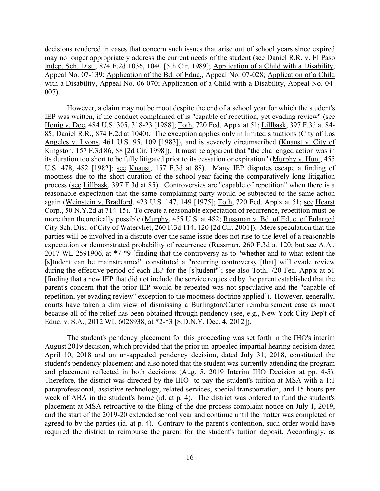decisions rendered in cases that concern such issues that arise out of school years since expired may no longer appropriately address the current needs of the student (see Daniel R.R. v. El Paso Indep. Sch. Dist., 874 F.2d 1036, 1040 [5th Cir. 1989]; Application of a Child with a Disability, Appeal No. 07-139; Application of the Bd. of Educ., Appeal No. 07-028; Application of a Child with a Disability, Appeal No. 06-070; Application of a Child with a Disability, Appeal No. 04- 007).

IEP was written, if the conduct complained of is "capable of repetition, yet evading review" (see process (see Lillbask, 397 F.3d at 85). Controversies are "capable of repetition" when there is a more than theoretically possible (Murphy, 455 U.S. at 482; Russman v. Bd. of Educ. of Enlarged However, a claim may not be moot despite the end of a school year for which the student's Honig v. Doe, 484 U.S. 305, 318-23 [1988]; Toth, 720 Fed. App'x at 51; Lillbask, 397 F.3d at 84- 85; Daniel R.R., 874 F.2d at 1040). The exception applies only in limited situations (City of Los Angeles v. Lyons, 461 U.S. 95, 109 [1983]), and is severely circumscribed (Knaust v. City of Kingston, 157 F.3d 86, 88 [2d Cir. 1998]). It must be apparent that "the challenged action was in its duration too short to be fully litigated prior to its cessation or expiration" (Murphy v. Hunt, 455 U.S. 478, 482 [1982]; see Knaust, 157 F.3d at 88). Many IEP disputes escape a finding of mootness due to the short duration of the school year facing the comparatively long litigation reasonable expectation that the same complaining party would be subjected to the same action again (Weinstein v. Bradford, 423 U.S. 147, 149 [1975]; Toth, 720 Fed. App'x at 51; see Hearst Corp., 50 N.Y.2d at 714-15). To create a reasonable expectation of recurrence, repetition must be City Sch. Dist. of City of Watervliet, 260 F.3d 114, 120 [2d Cir. 2001]). Mere speculation that the parties will be involved in a dispute over the same issue does not rise to the level of a reasonable expectation or demonstrated probability of recurrence (Russman, 260 F.3d at 120; but see A.A., 2017 WL 2591906, at \*7-\*9 [finding that the controversy as to "whether and to what extent the [s]tudent can be mainstreamed" constituted a "recurring controversy [that] will evade review during the effective period of each IEP for the [s]tudent"]; see also Toth, 720 Fed. App'x at 51 [finding that a new IEP that did not include the service requested by the parent established that the parent's concern that the prior IEP would be repeated was not speculative and the "capable of repetition, yet evading review" exception to the mootness doctrine applied]). However, generally, courts have taken a dim view of dismissing a Burlington/Carter reimbursement case as moot because all of the relief has been obtained through pendency (see, e.g., New York City Dep't of Educ. v. S.A., 2012 WL 6028938, at \*2-\*3 [S.D.N.Y. Dec. 4, 2012]).

 and placement reflected in both decisions (Aug. 5, 2019 Interim IHO Decision at pp. 4-5). Therefore, the district was directed by the IHO to pay the student's tuition at MSA with a 1:1 week of ABA in the student's home (id. at p. 4). The district was ordered to fund the student's agreed to by the parties (*id.* at p. 4). Contrary to the parent's contention, such order would have The student's pendency placement for this proceeding was set forth in the IHO's interim August 2019 decision, which provided that the prior un-appealed impartial hearing decision dated April 10, 2018 and an un-appealed pendency decision, dated July 31, 2018, constituted the student's pendency placement and also noted that the student was currently attending the program paraprofessional, assistive technology, related services, special transportation, and 15 hours per placement at MSA retroactive to the filing of the due process complaint notice on July 1, 2019, and the start of the 2019-20 extended school year and continue until the matter was completed or required the district to reimburse the parent for the student's tuition deposit. Accordingly, as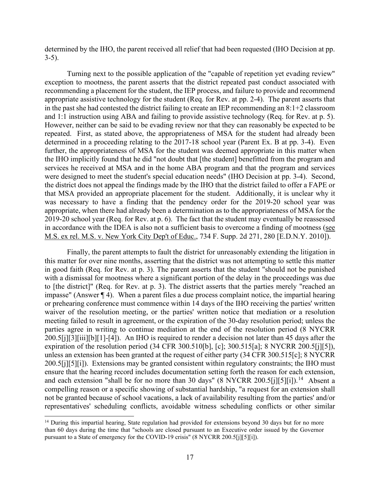determined by the IHO, the parent received all relief that had been requested (IHO Decision at pp. 3-5).

 recommending a placement for the student, the IEP process, and failure to provide and recommend in the past she had contested the district failing to create an IEP recommending an 8:1+2 classroom and 1:1 instruction using ABA and failing to provide assistive technology (Req. for Rev. at p. 5). and 1:1 instruction using ABA and failing to provide assistive technology (Req. for Rev. at p. 5). However, neither can be said to be evading review nor that they can reasonably be expected to be repeated. First, as stated above, the appropriateness of MSA for the student had already been determined in a proceeding relating to the 2017-18 school year (Parent Ex. B at pp. 3-4). Even further, the appropriateness of MSA for the student was deemed appropriate in this matter when services he received at MSA and in the home ABA program and that the program and services were designed to meet the student's special education needs" (IHO Decision at pp. 3-4). Second, the district does not appeal the findings made by the IHO that the district failed to offer a FAPE or that MSA provided an appropriate placement for the student. Additionally, it is unclear why it 2019-20 school year (Req. for Rev. at p. 6). The fact that the student may eventually be reassessed Turning next to the possible application of the "capable of repetition yet evading review" exception to mootness, the parent asserts that the district repeated past conduct associated with appropriate assistive technology for the student (Req. for Rev. at pp. 2-4). The parent asserts that the IHO implicitly found that he did "not doubt that [the student] benefitted from the program and was necessary to have a finding that the pendency order for the 2019-20 school year was appropriate, when there had already been a determination as to the appropriateness of MSA for the in accordance with the IDEA is also not a sufficient basis to overcome a finding of mootness (see M.S. ex rel. M.S. v. New York City Dep't of Educ., 734 F. Supp. 2d 271, 280 [E.D.N.Y. 2010]).

 Finally, the parent attempts to fault the district for unreasonably extending the litigation in in good faith (Req. for Rev. at p. 3). The parent asserts that the student "should not be punished with a dismissal for mootness where a significant portion of the delay in the proceedings was due and each extension "shall be for no more than 30 days" (8 NYCRR 200.5[j][5][i]).<sup>14</sup> Absent a this matter for over nine months, asserting that the district was not attempting to settle this matter to [the district]" (Req. for Rev. at p. 3). The district asserts that the parties merely "reached an impasse" (Answer ¶ 4). When a parent files a due process complaint notice, the impartial hearing or prehearing conference must commence within 14 days of the IHO receiving the parties' written waiver of the resolution meeting, or the parties' written notice that mediation or a resolution meeting failed to result in agreement, or the expiration of the 30-day resolution period; unless the parties agree in writing to continue mediation at the end of the resolution period (8 NYCRR 200.5[j][3][iii][b][1]-[4]). An IHO is required to render a decision not later than 45 days after the expiration of the resolution period (34 CFR 300.510[b], [c]; 300.515[a]; 8 NYCRR 200.5[j][5]), unless an extension has been granted at the request of either party (34 CFR 300.515[c]; 8 NYCRR 200.5[j][5][i]). Extensions may be granted consistent within regulatory constraints; the IHO must ensure that the hearing record includes documentation setting forth the reason for each extension, compelling reason or a specific showing of substantial hardship, "a request for an extension shall not be granted because of school vacations, a lack of availability resulting from the parties' and/or representatives' scheduling conflicts, avoidable witness scheduling conflicts or other similar

<span id="page-16-0"></span><sup>&</sup>lt;sup>14</sup> During this impartial hearing, State regulation had provided for extensions beyond 30 days but for no more than 60 days during the time that "schools are closed pursuant to an Executive order issued by the Governor pursuant to a State of emergency for the COVID-19 crisis" (8 NYCRR 200.5[j][5][i]).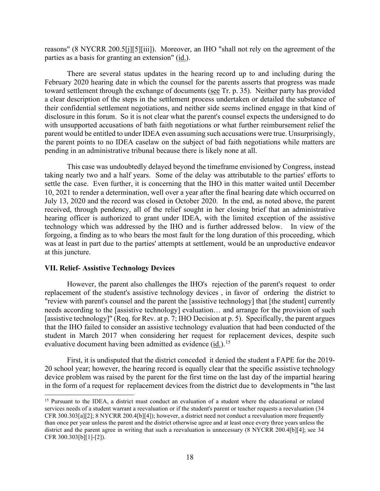reasons" (8 NYCRR 200.5[j][5][iii]). Moreover, an IHO "shall not rely on the agreement of the parties as a basis for granting an extension" (id.).

toward settlement through the exchange of documents (see Tr. p. 35). Neither party has provided a clear description of the steps in the settlement process undertaken or detailed the substance of There are several status updates in the hearing record up to and including during the February 2020 hearing date in which the counsel for the parents asserts that progress was made their confidential settlement negotiations, and neither side seems inclined engage in that kind of disclosure in this forum. So it is not clear what the parent's counsel expects the undersigned to do with unsupported accusations of bath faith negotiations or what further reimbursement relief the parent would be entitled to under IDEA even assuming such accusations were true. Unsurprisingly, the parent points to no IDEA caselaw on the subject of bad faith negotiations while matters are pending in an administrative tribunal because there is likely none at all.

 taking nearly two and a half years. Some of the delay was attributable to the parties' efforts to 10, 2021 to render a determination, well over a year after the final hearing date which occurred on July 13, 2020 and the record was closed in October 2020. In the end, as noted above, the parent technology which was addressed by the IHO and is further addressed below. In view of the forgoing, a finding as to who bears the most fault for the long duration of this proceeding, which This case was undoubtedly delayed beyond the timeframe envisioned by Congress, instead settle the case. Even further, it is concerning that the IHO in this matter waited until December received, through pendency, all of the relief sought in her closing brief that an administrative hearing officer is authorized to grant under IDEA, with the limited exception of the assistive was at least in part due to the parties' attempts at settlement, would be an unproductive endeavor at this juncture.

## **VII. Relief- Assistive Technology Devices**

 However, the parent also challenges the IHO's rejection of the parent's request to order replacement of the student's assistive technology devices , in favor of ordering the district to "review with parent's counsel and the parent the [assistive technology] that [the student] currently [assistive technology]" (Req. for Rev. at p. 7; IHO Decision at p. 5). Specifically, the parent argues student in March 2017 when considering her request for replacement devices, despite such evaluative document having been admitted as evidence  $(id.)$ .<sup>15</sup> needs according to the [assistive technology] evaluation… and arrange for the provision of such that the IHO failed to consider an assistive technology evaluation that had been conducted of the

 First, it is undisputed that the district conceded it denied the student a FAPE for the 2019- 20 school year; however, the hearing record is equally clear that the specific assistive technology device problem was raised by the parent for the first time on the last day of the impartial hearing in the form of a request for replacement devices from the district due to developments in "the last

<span id="page-17-0"></span><sup>&</sup>lt;sup>15</sup> Pursuant to the IDEA, a district must conduct an evaluation of a student where the educational or related CFR 300.303[a][2]; 8 NYCRR 200.4[b][4]); however, a district need not conduct a reevaluation more frequently services needs of a student warrant a reevaluation or if the student's parent or teacher requests a reevaluation (34 than once per year unless the parent and the district otherwise agree and at least once every three years unless the district and the parent agree in writing that such a reevaluation is unnecessary (8 NYCRR 200.4[b][4]; see 34 CFR 300.303[b][1]-[2]).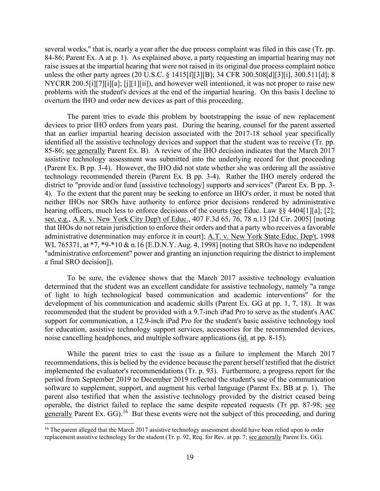several weeks," that is, nearly a year after the due process complaint was filed in this case (Tr. pp. NYCRR 200.5[i][7][i][a]; [j][1][ii]), and however well intentioned, it was not proper to raise new overturn the IHO and order new devices as part of this proceeding. 84-86; Parent Ex. A at p. 1). As explained above, a party requesting an impartial hearing may not raise issues at the impartial hearing that were not raised in its original due process complaint notice unless the other party agrees (20 U.S.C. § 1415[f][3][B]; 34 CFR 300.508[d][3][i], 300.511[d]; 8 problems with the student's devices at the end of the impartial hearing. On this basis I decline to

85-86; see generally Parent Ex. B). A review of the IHO decision indicates that the March 2017 assistive technology assessment was submitted into the underlying record for that proceeding district to "provide and/or fund [assistive technology] supports and services" (Parent Ex. B pp. 3- 4). To the extent that the parent may be seeking to enforce an IHO's order, it must be noted that hearing officers, much less to enforce decisions of the courts (see Educ. Law §§ 4404[1][a]; [2]; that IHOs do not retain jurisdiction to enforce their orders and that a party who receives a favorable The parent tries to evade this problem by bootstrapping the issue of new replacement devices to prior IHO orders from years past. During the hearing, counsel for the parent asserted that an earlier impartial hearing decision associated with the 2017-18 school year specifically identified all the assistive technology devices and support that the student was to receive (Tr. pp. (Parent Ex. B pp. 3-4). However, the IHO did not state whether she was ordering all the assistive technology recommended therein (Parent Ex. B pp. 3-4). Rather the IHO merely ordered the neither IHOs nor SROs have authority to enforce prior decisions rendered by administrative see, e.g., A.R. v. New York City Dep't of Educ., 407 F.3d 65, 76, 78 n.13 [2d Cir. 2005] [noting administrative determination may enforce it in court]; A.T. v. New York State Educ. Dep't, 1998 WL 765371, at \*7, \*9-\*10 & n.16 [E.D.N.Y. Aug. 4, 1998] [noting that SROs have no independent "administrative enforcement" power and granting an injunction requiring the district to implement a final SRO decision]).

 development of his communication and academic skills (Parent Ex. GG at pp. 1, 7, 18). It was recommended that the student be provided with a 9.7-inch iPad Pro to serve as the student's AAC support for communication, a 12.9-inch iPad Pro for the student's basic assistive technology tool noise cancelling headphones, and multiple software applications (*id.* at pp. 8-15). To be sure, the evidence shows that the March 2017 assistive technology evaluation determined that the student was an excellent candidate for assistive technology, namely "a range of light to high technological based communication and academic interventions" for the for education, assistive technology support services, accessories for the recommended devices,

 implemented the evaluator's recommendations (Tr. p. 93). Furthermore, a progress report for the parent also testified that when the assistive technology provided by the district ceased being operable, the district failed to replace the same despite repeated requests (Tr pp. 87-98; see generally Parent Ex. GG).<sup>[16](#page-18-0)</sup> But these events were not the subject of this proceeding, and during While the parent tries to cast the issue as a failure to implement the March 2017 recommendations, this is belied by the evidence because the parent herself testified that the district period from September 2019 to December 2019 reflected the student's use of the communication software to supplement, support, and augment his verbal language (Parent Ex. BB at p. 1). The

<span id="page-18-0"></span><sup>&</sup>lt;sup>16</sup> The parent alleged that the March 2017 assistive technology assessment should have been relied upon to order replacement assistive technology for the student (Tr. p. 92, Req. for Rev. at pp. 7; see generally Parent Ex. GG).